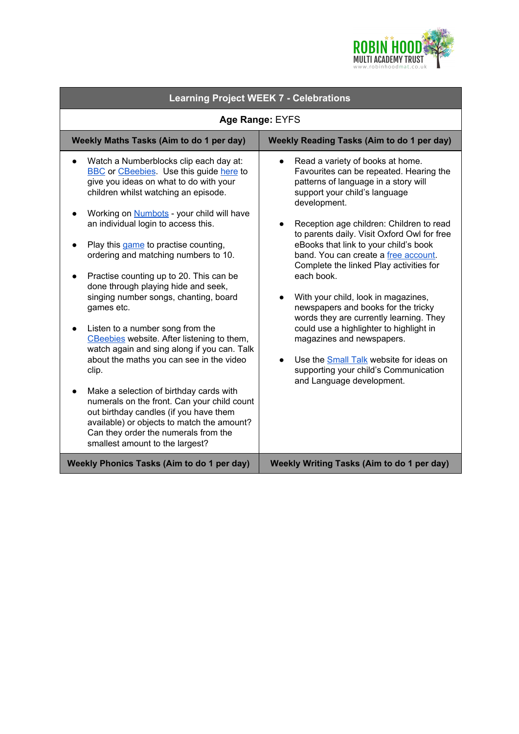

| <b>Learning Project WEEK 7 - Celebrations</b>                                                                                                                                                                                                                                                                                                                                                                                                                                                                                                                                                                                                                                                                                                                                                                                                                                                                                                     |                                                                                                                                                                                                                                                                                                                                                                                                                                                                                                                                                                                                                                                                                                                                                 |
|---------------------------------------------------------------------------------------------------------------------------------------------------------------------------------------------------------------------------------------------------------------------------------------------------------------------------------------------------------------------------------------------------------------------------------------------------------------------------------------------------------------------------------------------------------------------------------------------------------------------------------------------------------------------------------------------------------------------------------------------------------------------------------------------------------------------------------------------------------------------------------------------------------------------------------------------------|-------------------------------------------------------------------------------------------------------------------------------------------------------------------------------------------------------------------------------------------------------------------------------------------------------------------------------------------------------------------------------------------------------------------------------------------------------------------------------------------------------------------------------------------------------------------------------------------------------------------------------------------------------------------------------------------------------------------------------------------------|
| Age Range: EYFS                                                                                                                                                                                                                                                                                                                                                                                                                                                                                                                                                                                                                                                                                                                                                                                                                                                                                                                                   |                                                                                                                                                                                                                                                                                                                                                                                                                                                                                                                                                                                                                                                                                                                                                 |
| Weekly Maths Tasks (Aim to do 1 per day)                                                                                                                                                                                                                                                                                                                                                                                                                                                                                                                                                                                                                                                                                                                                                                                                                                                                                                          | <b>Weekly Reading Tasks (Aim to do 1 per day)</b>                                                                                                                                                                                                                                                                                                                                                                                                                                                                                                                                                                                                                                                                                               |
| Watch a Numberblocks clip each day at:<br><b>BBC</b> or CBeebies. Use this guide here to<br>give you ideas on what to do with your<br>children whilst watching an episode.<br>Working on <b>Numbots</b> - your child will have<br>an individual login to access this.<br>Play this game to practise counting,<br>ordering and matching numbers to 10.<br>Practise counting up to 20. This can be<br>done through playing hide and seek,<br>singing number songs, chanting, board<br>games etc.<br>Listen to a number song from the<br>CBeebies website. After listening to them,<br>watch again and sing along if you can. Talk<br>about the maths you can see in the video<br>clip.<br>Make a selection of birthday cards with<br>numerals on the front. Can your child count<br>out birthday candles (if you have them<br>available) or objects to match the amount?<br>Can they order the numerals from the<br>smallest amount to the largest? | Read a variety of books at home.<br>Favourites can be repeated. Hearing the<br>patterns of language in a story will<br>support your child's language<br>development.<br>Reception age children: Children to read<br>$\bullet$<br>to parents daily. Visit Oxford Owl for free<br>eBooks that link to your child's book<br>band. You can create a free account.<br>Complete the linked Play activities for<br>each book.<br>With your child, look in magazines,<br>newspapers and books for the tricky<br>words they are currently learning. They<br>could use a highlighter to highlight in<br>magazines and newspapers.<br>Use the <b>Small Talk</b> website for ideas on<br>supporting your child's Communication<br>and Language development. |
| Weekly Phonics Tasks (Aim to do 1 per day)                                                                                                                                                                                                                                                                                                                                                                                                                                                                                                                                                                                                                                                                                                                                                                                                                                                                                                        | Weekly Writing Tasks (Aim to do 1 per day)                                                                                                                                                                                                                                                                                                                                                                                                                                                                                                                                                                                                                                                                                                      |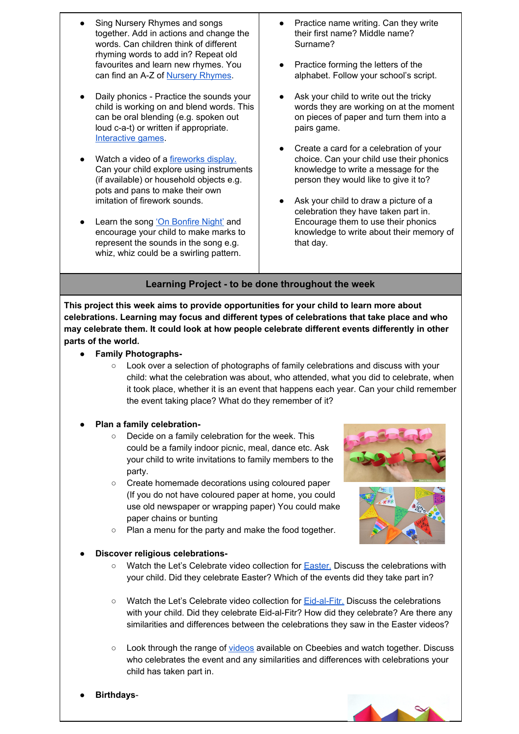- **Sing Nursery Rhymes and songs** together. Add in actions and change the words. Can children think of different rhyming words to add in? Repeat old favourites and learn new rhymes. You can find an A-Z of Nursery [Rhymes.](https://allnurseryrhymes.com/)
- Daily phonics Practice the sounds your child is working on and blend words. This can be oral blending (e.g. spoken out loud c-a-t) or written if appropriate. [Interactive](https://www.phonicsplay.co.uk/) games.
- Watch a video of a [fireworks](https://www.youtube.com/watch?v=gb_ihBSH4C4) display. Can your child explore using instruments (if available) or household objects e.g. pots and pans to make their own imitation of firework sounds.
- Learn the song 'On [Bonfire](https://stevegrocott.bandcamp.com/track/the-firework-song) Night' and encourage your child to make marks to represent the sounds in the song e.g. whiz, whiz could be a swirling pattern.
- Practice name writing. Can they write their first name? Middle name? Surname?
- Practice forming the letters of the alphabet. Follow your school's script.
- Ask your child to write out the tricky words they are working on at the moment on pieces of paper and turn them into a pairs game.
- Create a card for a celebration of your choice. Can your child use their phonics knowledge to write a message for the person they would like to give it to?
- Ask your child to draw a picture of a celebration they have taken part in. Encourage them to use their phonics knowledge to write about their memory of that day.

## **Learning Project - to be done throughout the week**

**This project this week aims to provide opportunities for your child to learn more about celebrations. Learning may focus and different types of celebrations that take place and who may celebrate them. It could look at how people celebrate different events differently in other parts of the world.**

- **● Family Photographs-**
	- Look over a selection of photographs of family celebrations and discuss with your child: what the celebration was about, who attended, what you did to celebrate, when it took place, whether it is an event that happens each year. Can your child remember the event taking place? What do they remember of it?
- **● Plan a family celebration-**
	- Decide on a family celebration for the week. This could be a family indoor picnic, meal, dance etc. Ask your child to write invitations to family members to the party.
	- Create homemade decorations using coloured paper (If you do not have coloured paper at home, you could use old newspaper or wrapping paper) You could make paper chains or bunting
	- Plan a menu for the party and make the food together.
- **● Discover religious celebrations-**



- Watch the Let's Celebrate video collection for **[Easter.](https://www.bbc.co.uk/cbeebies/watch/lets-celebrate-easter)** Discuss the celebrations with your child. Did they celebrate Easter? Which of the events did they take part in?
- Watch the Let's Celebrate video collection for **[Eid-al-Fitr.](https://www.bbc.co.uk/cbeebies/puzzles/lets-celebrate-eid)** Discuss the celebrations with your child. Did they celebrate Eid-al-Fitr? How did they celebrate? Are there any similarities and differences between the celebrations they saw in the Easter videos?
- Look through the range of [videos](https://www.bbc.co.uk/cbeebies/shows/lets-celebrate) available on Cbeebies and watch together. Discuss who celebrates the event and any similarities and differences with celebrations your child has taken part in.